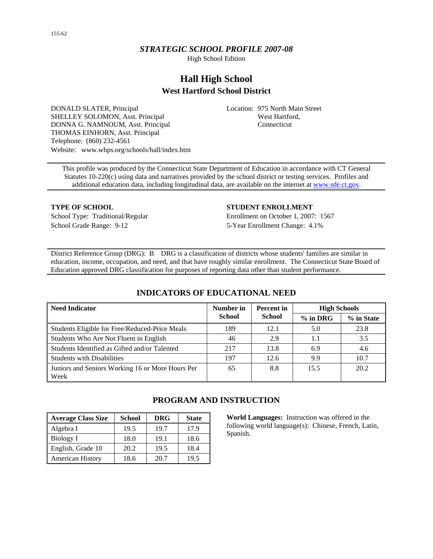# *STRATEGIC SCHOOL PROFILE 2007-08*

High School Edition

# **Hall High School West Hartford School District**

DONALD SLATER, Principal SHELLEY SOLOMON, Asst. Principal DONNA G. NAMNOUM, Asst. Principal THOMAS EINHORN, Asst. Principal Telephone: (860) 232-4561 Website: www.whps.org/schools/hall/index.htm Location: 975 North Main Street West Hartford, Connecticut

This profile was produced by the Connecticut State Department of Education in accordance with CT General Statutes 10-220(c) using data and narratives provided by the school district or testing services. Profiles and additional education data, including longitudinal data, are available on the internet at [www.sde.ct.gov.](http://www.sde.ct.gov/)

School Grade Range: 9-12 5-Year Enrollment Change: 4.1%

#### **TYPE OF SCHOOL STUDENT ENROLLMENT**

School Type: Traditional/Regular Enrollment on October 1, 2007: 1567

District Reference Group (DRG): B DRG is a classification of districts whose students' families are similar in education, income, occupation, and need, and that have roughly similar enrollment. The Connecticut State Board of Education approved DRG classification for purposes of reporting data other than student performance.

# **INDICATORS OF EDUCATIONAL NEED**

| <b>Need Indicator</b>                                    | Number in     | <b>Percent</b> in | <b>High Schools</b> |            |
|----------------------------------------------------------|---------------|-------------------|---------------------|------------|
|                                                          | <b>School</b> | School            | $%$ in DRG          | % in State |
| Students Eligible for Free/Reduced-Price Meals           | 189           | 12.1              | 5.0                 | 23.8       |
| Students Who Are Not Fluent in English                   | 46            | 2.9               |                     | 3.5        |
| Students Identified as Gifted and/or Talented            | 217           | 13.8              | 6.9                 | 4.6        |
| <b>Students with Disabilities</b>                        | 197           | 12.6              | 9.9                 | 10.7       |
| Juniors and Seniors Working 16 or More Hours Per<br>Week | 65            | 8.8               | 15.5                | 20.2       |

| <b>Average Class Size</b> | <b>School</b> | <b>DRG</b> | <b>State</b> |
|---------------------------|---------------|------------|--------------|
| Algebra I                 | 19.5          | 19.7       | 17.9         |
| Biology I                 | 18.0          | 19.1       | 18.6         |
| English, Grade 10         | 20.2          | 19.5       | 18.4         |
| <b>American History</b>   | 18.6          | 20.7       | 19.5         |

# **PROGRAM AND INSTRUCTION**

**World Languages:** Instruction was offered in the following world language(s): Chinese, French, Latin, Spanish.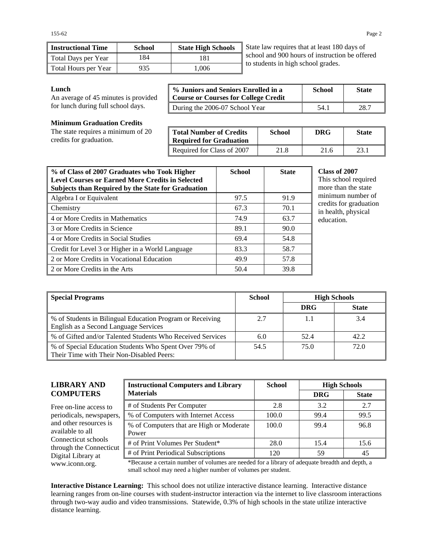| <b>Instructional Time</b> | School | <b>State High Schools</b> |  |
|---------------------------|--------|---------------------------|--|
| Total Days per Year       | 184    | 181                       |  |
| Total Hours per Year      | 935    | 1.006                     |  |

State law requires that at least 180 days of school and 900 hours of instruction be offered to students in high school grades.

#### **Lunch**

An average of 45 minutes is provided for lunch during full school days.

| % Juniors and Seniors Enrolled in a<br><b>Course or Courses for College Credit</b> | <b>School</b> | <b>State</b> |
|------------------------------------------------------------------------------------|---------------|--------------|
| During the 2006-07 School Year                                                     | 54.1          | 28.7         |

**Minimum Graduation Credits** 

The state requires a minimum of 20 credits for graduation.

| <b>Total Number of Credits</b><br><b>Required for Graduation</b> | <b>School</b> | DRG  | <b>State</b> |
|------------------------------------------------------------------|---------------|------|--------------|
| Required for Class of 2007                                       | 21.8          | 21.6 | 23.1         |

| % of Class of 2007 Graduates who Took Higher<br><b>Level Courses or Earned More Credits in Selected</b><br><b>Subjects than Required by the State for Graduation</b> | <b>School</b> | <b>State</b> |
|----------------------------------------------------------------------------------------------------------------------------------------------------------------------|---------------|--------------|
| Algebra I or Equivalent                                                                                                                                              | 97.5          | 91.9         |
| Chemistry                                                                                                                                                            | 67.3          | 70.1         |
| 4 or More Credits in Mathematics                                                                                                                                     | 74.9          | 63.7         |
| 3 or More Credits in Science                                                                                                                                         | 89.1          | 90.0         |
| 4 or More Credits in Social Studies                                                                                                                                  | 69.4          | 54.8         |
| Credit for Level 3 or Higher in a World Language                                                                                                                     | 83.3          | 58.7         |
| 2 or More Credits in Vocational Education                                                                                                                            | 49.9          | 57.8         |
| 2 or More Credits in the Arts                                                                                                                                        | 50.4          | 39.8         |

#### **Class of 2007**

is school required re than the state minimum number of dits for graduation nealth, physical ication.

| Special Programs                                                                                     | <b>School</b> |            | <b>High Schools</b> |
|------------------------------------------------------------------------------------------------------|---------------|------------|---------------------|
|                                                                                                      |               | <b>DRG</b> | <b>State</b>        |
| ■ % of Students in Bilingual Education Program or Receiving<br>English as a Second Language Services | 2.7           | 1.1        | 3.4                 |
| ■ % of Gifted and/or Talented Students Who Received Services                                         | 6.0           | 52.4       | 42.2                |
| ■ % of Special Education Students Who Spent Over 79% of<br>Their Time with Their Non-Disabled Peers: | 54.5          | 75.0       | 72.0                |

### **LIBRARY AND COMPUTERS**

Free on-line access to periodicals, newspapers, and other resources is available to all Connecticut schools through the Connecticut Digital Library at

| <b>Instructional Computers and Library</b>        | <b>School</b> | <b>High Schools</b> |              |
|---------------------------------------------------|---------------|---------------------|--------------|
| <b>Materials</b>                                  |               | <b>DRG</b>          | <b>State</b> |
| # of Students Per Computer                        | 2.8           | 3.2                 | 2.7          |
| % of Computers with Internet Access               | 100.0         | 99.4                | 99.5         |
| % of Computers that are High or Moderate<br>Power | 100.0         | 99.4                | 96.8         |
| # of Print Volumes Per Student*                   | 28.0          | 15.4                | 15.6         |
| # of Print Periodical Subscriptions               | 120           | 59                  | 45           |

www.iconn.org. \*Because a certain number of volumes are needed for a library of adequate breadth and depth, a small school may need a higher number of volumes per student.

**Interactive Distance Learning:** This school does not utilize interactive distance learning. Interactive distance learning ranges from on-line courses with student-instructor interaction via the internet to live classroom interactions through two-way audio and video transmissions. Statewide, 0.3% of high schools in the state utilize interactive distance learning.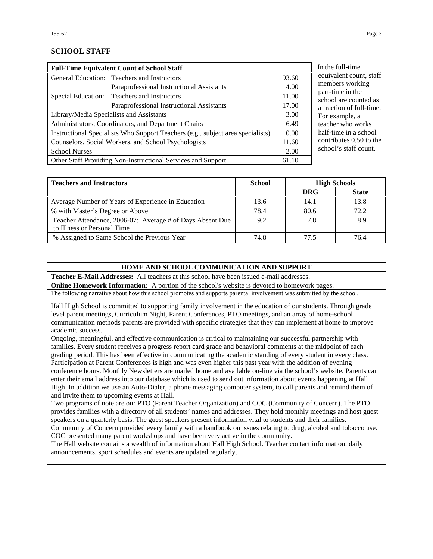# **SCHOOL STAFF**

| <b>Full-Time Equivalent Count of School Staff</b>    |                                                                                 |       |
|------------------------------------------------------|---------------------------------------------------------------------------------|-------|
|                                                      | General Education: Teachers and Instructors                                     | 93.60 |
|                                                      | Paraprofessional Instructional Assistants                                       | 4.00  |
|                                                      | Special Education: Teachers and Instructors                                     | 11.00 |
|                                                      | Paraprofessional Instructional Assistants                                       | 17.00 |
|                                                      | Library/Media Specialists and Assistants                                        | 3.00  |
|                                                      | Administrators, Coordinators, and Department Chairs                             | 6.49  |
|                                                      | Instructional Specialists Who Support Teachers (e.g., subject area specialists) | 0.00  |
| Counselors, Social Workers, and School Psychologists |                                                                                 | 11.60 |
| <b>School Nurses</b>                                 |                                                                                 | 2.00  |
|                                                      | Other Staff Providing Non-Instructional Services and Support                    | 61.10 |

he full-time ivalent count, staff mbers working t-time in the ool are counted as action of full-time. example, a cher who works f-time in a school tributes  $0.50$  to the ool's staff count.

| <b>Teachers and Instructors</b>                                                          | School |            | <b>High Schools</b> |
|------------------------------------------------------------------------------------------|--------|------------|---------------------|
|                                                                                          |        | <b>DRG</b> | <b>State</b>        |
| Average Number of Years of Experience in Education                                       | 13.6   | 14.1       | 13.8                |
| % with Master's Degree or Above                                                          | 78.4   | 80.6       | 72.2                |
| Teacher Attendance, 2006-07: Average # of Days Absent Due<br>to Illness or Personal Time | 9.2    | 7.8        | 8.9                 |
| % Assigned to Same School the Previous Year                                              | 74.8   | 77 5       | 76.4                |

# **HOME AND SCHOOL COMMUNICATION AND SUPPORT**

**Teacher E-Mail Addresses:** All teachers at this school have been issued e-mail addresses.

**Online Homework Information:** A portion of the school's website is devoted to homework pages.

The following narrative about how this school promotes and supports parental involvement was submitted by the school.

Hall High School is committed to supporting family involvement in the education of our students. Through grade level parent meetings, Curriculum Night, Parent Conferences, PTO meetings, and an array of home-school communication methods parents are provided with specific strategies that they can implement at home to improve academic success.

Ongoing, meaningful, and effective communication is critical to maintaining our successful partnership with families. Every student receives a progress report card grade and behavioral comments at the midpoint of each grading period. This has been effective in communicating the academic standing of every student in every class. Participation at Parent Conferences is high and was even higher this past year with the addition of evening conference hours. Monthly Newsletters are mailed home and available on-line via the school's website. Parents can enter their email address into our database which is used to send out information about events happening at Hall High. In addition we use an Auto-Dialer, a phone messaging computer system, to call parents and remind them of and invite them to upcoming events at Hall.

Two programs of note are our PTO (Parent Teacher Organization) and COC (Community of Concern). The PTO provides families with a directory of all students' names and addresses. They hold monthly meetings and host guest speakers on a quarterly basis. The guest speakers present information vital to students and their families. Community of Concern provided every family with a handbook on issues relating to drug, alcohol and tobacco use.

COC presented many parent workshops and have been very active in the community.

The Hall website contains a wealth of information about Hall High School. Teacher contact information, daily announcements, sport schedules and events are updated regularly.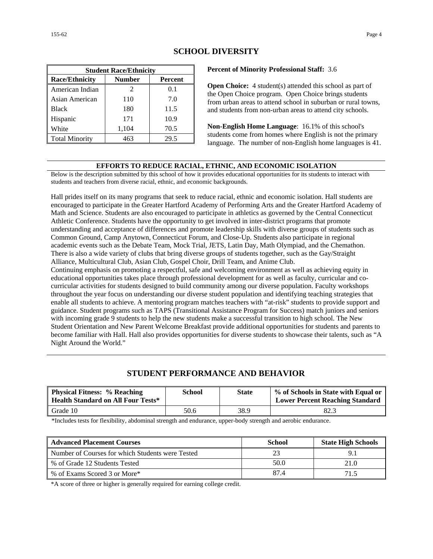| <b>Student Race/Ethnicity</b> |                             |         |  |
|-------------------------------|-----------------------------|---------|--|
| <b>Race/Ethnicity</b>         | <b>Number</b>               | Percent |  |
| American Indian               | $\mathcal{D}_{\mathcal{A}}$ | 0.1     |  |
| Asian American                | 110                         | 7.0     |  |
| <b>Black</b>                  | 180                         | 11.5    |  |
| Hispanic                      | 171                         | 10.9    |  |
| White                         | 1,104                       | 70.5    |  |
| <b>Total Minority</b>         |                             | 29.5    |  |

### **SCHOOL DIVERSITY**

**Percent of Minority Professional Staff:** 3.6

**Open Choice:** 4 student(s) attended this school as part of the Open Choice program. Open Choice brings students from urban areas to attend school in suburban or rural towns, and students from non-urban areas to attend city schools.

**Non-English Home Language**: 16.1% of this school's students come from homes where English is not the primary language. The number of non-English home languages is 41.

#### **EFFORTS TO REDUCE RACIAL, ETHNIC, AND ECONOMIC ISOLATION**

Below is the description submitted by this school of how it provides educational opportunities for its students to interact with students and teachers from diverse racial, ethnic, and economic backgrounds.

Hall prides itself on its many programs that seek to reduce racial, ethnic and economic isolation. Hall students are encouraged to participate in the Greater Hartford Academy of Performing Arts and the Greater Hartford Academy of Math and Science. Students are also encouraged to participate in athletics as governed by the Central Connecticut Athletic Conference. Students have the opportunity to get involved in inter-district programs that promote understanding and acceptance of differences and promote leadership skills with diverse groups of students such as Common Ground, Camp Anytown, Connecticut Forum, and Close-Up. Students also participate in regional academic events such as the Debate Team, Mock Trial, JETS, Latin Day, Math Olympiad, and the Chemathon. There is also a wide variety of clubs that bring diverse groups of students together, such as the Gay/Straight Alliance, Multicultural Club, Asian Club, Gospel Choir, Drill Team, and Anime Club.

Continuing emphasis on promoting a respectful, safe and welcoming environment as well as achieving equity in educational opportunities takes place through professional development for as well as faculty, curricular and cocurricular activities for students designed to build community among our diverse population. Faculty workshops throughout the year focus on understanding our diverse student population and identifying teaching strategies that enable all students to achieve. A mentoring program matches teachers with "at-risk" students to provide support and guidance. Student programs such as TAPS (Transitional Assistance Program for Success) match juniors and seniors with incoming grade 9 students to help the new students make a successful transition to high school. The New Student Orientation and New Parent Welcome Breakfast provide additional opportunities for students and parents to become familiar with Hall. Hall also provides opportunities for diverse students to showcase their talents, such as "A Night Around the World."

# **STUDENT PERFORMANCE AND BEHAVIOR**

| <b>Physical Fitness: % Reaching</b><br><b>Health Standard on All Four Tests*</b> | School | <b>State</b> | % of Schools in State with Equal or<br><b>Lower Percent Reaching Standard</b> |
|----------------------------------------------------------------------------------|--------|--------------|-------------------------------------------------------------------------------|
| Grade 10                                                                         | 50.6   | 38.9         | 82.3                                                                          |

\*Includes tests for flexibility, abdominal strength and endurance, upper-body strength and aerobic endurance.

| <b>Advanced Placement Courses</b>                | School | <b>State High Schools</b> |
|--------------------------------------------------|--------|---------------------------|
| Number of Courses for which Students were Tested |        |                           |
| % of Grade 12 Students Tested                    | 50.0   | 21.0                      |
| % of Exams Scored 3 or More*                     | 87.4   | 715                       |

\*A score of three or higher is generally required for earning college credit.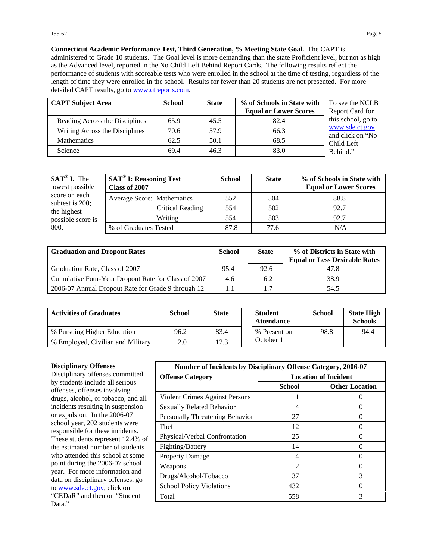**Connecticut Academic Performance Test, Third Generation, % Meeting State Goal.** The CAPT is administered to Grade 10 students. The Goal level is more demanding than the state Proficient level, but not as high as the Advanced level, reported in the No Child Left Behind Report Cards. The following results reflect the performance of students with scoreable tests who were enrolled in the school at the time of testing, regardless of the length of time they were enrolled in the school. Results for fewer than 20 students are not presented. For more detailed CAPT results, go to [www.ctreports.com.](http://www.ctreports.com/)

| <b>CAPT Subject Area</b>       | <b>School</b> | <b>State</b> | % of Schools in State with<br><b>Equal or Lower Scores</b> | To see the NCLB<br>Report Card for |
|--------------------------------|---------------|--------------|------------------------------------------------------------|------------------------------------|
| Reading Across the Disciplines | 65.9          | 45.5         | 82.4                                                       | this school, go to                 |
| Writing Across the Disciplines | 70.6          | 57.9         | 66.3                                                       | www.sde.ct.gov<br>and click on "No |
| <b>Mathematics</b>             | 62.5          | 50.1         | 68.5                                                       | Child Left                         |
| Science                        | 69.4          | 46.3         | 83.0                                                       | Behind."                           |

| $SAT^{\circledast}$ I. The<br>lowest possible | <b>SAT<sup>®</sup> I: Reasoning Test</b><br>Class of 2007 | <b>School</b> | <b>State</b> | % of Schools in State with<br><b>Equal or Lower Scores</b> |
|-----------------------------------------------|-----------------------------------------------------------|---------------|--------------|------------------------------------------------------------|
| score on each                                 | Average Score: Mathematics                                | 552           | 504          | 88.8                                                       |
| subtest is $200$ ;<br>the highest             | Critical Reading                                          | 554           | 502          | 92.7                                                       |
| possible score is                             | Writing                                                   | 554           | 503          | 92.7                                                       |
| 800.                                          | % of Graduates Tested                                     | 87.8          | 77.6         | N/A                                                        |

| <b>Graduation and Dropout Rates</b>                 | <b>School</b> | <b>State</b> | % of Districts in State with<br><b>Equal or Less Desirable Rates</b> |
|-----------------------------------------------------|---------------|--------------|----------------------------------------------------------------------|
| Graduation Rate, Class of 2007                      | 95.4          | 92.6         | 47.8                                                                 |
| Cumulative Four-Year Dropout Rate for Class of 2007 | 4.6           | 6.2          | 38.9                                                                 |
| 2006-07 Annual Dropout Rate for Grade 9 through 12  | 1.1           |              | 54.5                                                                 |

| <b>Activities of Graduates</b>    | School | <b>State</b> | <b>Student</b><br><b>Attendance</b> | <b>School</b> | <b>State High</b><br><b>Schools</b> |
|-----------------------------------|--------|--------------|-------------------------------------|---------------|-------------------------------------|
| % Pursuing Higher Education       | 96.2   | 83.4         | % Present on                        | 98.8          | 94.4                                |
| % Employed, Civilian and Military | 2.0    | 12.3         | October 1                           |               |                                     |

#### **Disciplinary Offenses**

Disciplinary offenses committed by students include all serious offenses, offenses involving drugs, alcohol, or tobacco, and all incidents resulting in suspension or expulsion. In the 2006-07 school year, 202 students were responsible for these incidents. These students represent 12.4% of the estimated number of students who attended this school at some point during the 2006-07 school year. For more information and data on disciplinary offenses, go to [www.sde.ct.gov](http://www.sde.ct.gov/), click on "CEDaR" and then on "Student Data."

| Number of Incidents by Disciplinary Offense Category, 2006-07 |                             |                       |  |
|---------------------------------------------------------------|-----------------------------|-----------------------|--|
| <b>Offense Category</b>                                       | <b>Location of Incident</b> |                       |  |
|                                                               | <b>School</b>               | <b>Other Location</b> |  |
| Violent Crimes Against Persons                                |                             |                       |  |
| Sexually Related Behavior                                     | 4                           | $\mathbf{\Omega}$     |  |
| Personally Threatening Behavior                               | 27                          |                       |  |
| Theft                                                         | 12                          |                       |  |
| Physical/Verbal Confrontation                                 | 25                          |                       |  |
| Fighting/Battery                                              | 14                          |                       |  |
| <b>Property Damage</b>                                        | 4                           |                       |  |
| Weapons                                                       | $\mathfrak{D}$              |                       |  |
| Drugs/Alcohol/Tobacco                                         | 37                          | 3                     |  |
| <b>School Policy Violations</b>                               | 432                         |                       |  |
| Total                                                         | 558                         | 3                     |  |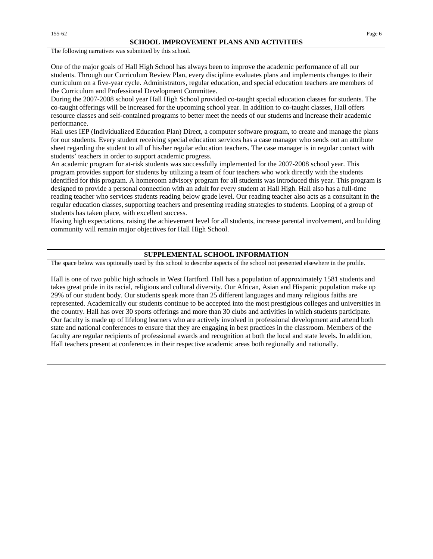The following narratives was submitted by this school.

One of the major goals of Hall High School has always been to improve the academic performance of all our students. Through our Curriculum Review Plan, every discipline evaluates plans and implements changes to their curriculum on a five-year cycle. Administrators, regular education, and special education teachers are members of the Curriculum and Professional Development Committee.

During the 2007-2008 school year Hall High School provided co-taught special education classes for students. The co-taught offerings will be increased for the upcoming school year. In addition to co-taught classes, Hall offers resource classes and self-contained programs to better meet the needs of our students and increase their academic performance.

Hall uses IEP (Individualized Education Plan) Direct, a computer software program, to create and manage the plans for our students. Every student receiving special education services has a case manager who sends out an attribute sheet regarding the student to all of his/her regular education teachers. The case manager is in regular contact with students' teachers in order to support academic progress.

An academic program for at-risk students was successfully implemented for the 2007-2008 school year. This program provides support for students by utilizing a team of four teachers who work directly with the students identified for this program. A homeroom advisory program for all students was introduced this year. This program is designed to provide a personal connection with an adult for every student at Hall High. Hall also has a full-time reading teacher who services students reading below grade level. Our reading teacher also acts as a consultant in the regular education classes, supporting teachers and presenting reading strategies to students. Looping of a group of students has taken place, with excellent success.

Having high expectations, raising the achievement level for all students, increase parental involvement, and building community will remain major objectives for Hall High School.

#### **SUPPLEMENTAL SCHOOL INFORMATION**

The space below was optionally used by this school to describe aspects of the school not presented elsewhere in the profile.

Hall is one of two public high schools in West Hartford. Hall has a population of approximately 1581 students and takes great pride in its racial, religious and cultural diversity. Our African, Asian and Hispanic population make up 29% of our student body. Our students speak more than 25 different languages and many religious faiths are represented. Academically our students continue to be accepted into the most prestigious colleges and universities in the country. Hall has over 30 sports offerings and more than 30 clubs and activities in which students participate. Our faculty is made up of lifelong learners who are actively involved in professional development and attend both state and national conferences to ensure that they are engaging in best practices in the classroom. Members of the faculty are regular recipients of professional awards and recognition at both the local and state levels. In addition, Hall teachers present at conferences in their respective academic areas both regionally and nationally.